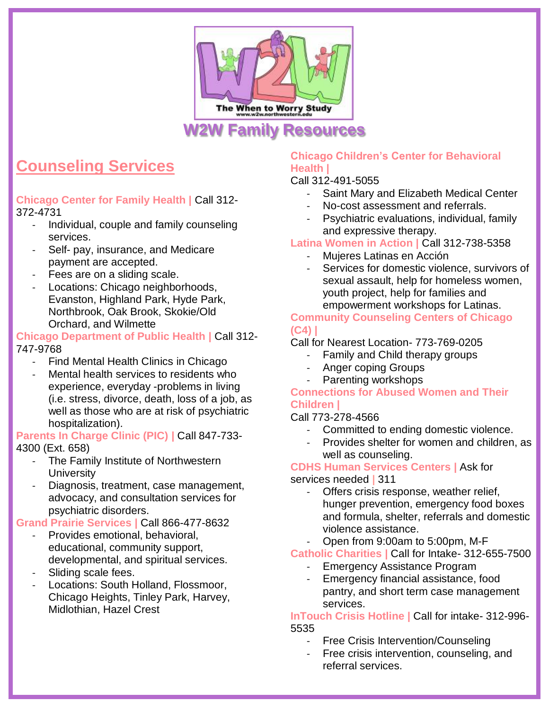

# **Counseling Services**

**Chicago Center for Family Health |** Call 312- 372-4731

- Individual, couple and family counseling services.
- Self- pay, insurance, and Medicare payment are accepted.
- Fees are on a sliding scale.
- Locations: Chicago neighborhoods, Evanston, Highland Park, Hyde Park, Northbrook, Oak Brook, Skokie/Old Orchard, and Wilmette

### **Chicago Department of Public Health |** Call 312- 747-9768

- Find Mental Health Clinics in Chicago
- Mental health services to residents who experience, everyday -problems in living (i.e. stress, divorce, death, loss of a job, as well as those who are at risk of psychiatric hospitalization).

**Parents In Charge Clinic (PIC) |** Call 847-733- 4300 (Ext. 658)

- The Family Institute of Northwestern **University**
- Diagnosis, treatment, case management, advocacy, and consultation services for psychiatric disorders.

**Grand Prairie Services |** Call 866-477-8632

- Provides emotional, behavioral, educational, community support, developmental, and spiritual services.
- Sliding scale fees.
- Locations: South Holland, Flossmoor, Chicago Heights, Tinley Park, Harvey, Midlothian, Hazel Crest

### **Chicago Children's Center for Behavioral Health |**

Call 312-491-5055

- Saint Mary and Elizabeth Medical Center
- No-cost assessment and referrals.
- Psychiatric evaluations, individual, family and expressive therapy.

### **Latina Women in Action |** Call 312-738-5358

- Mujeres Latinas en Acción
- Services for domestic violence, survivors of sexual assault, help for homeless women, youth project, help for families and empowerment workshops for Latinas.

### **Community Counseling Centers of Chicago (C4) |**

### Call for Nearest Location- 773-769-0205

- Family and Child therapy groups
- Anger coping Groups
- Parenting workshops

### **Connections for Abused Women and Their Children |**

Call 773-278-4566

- Committed to ending domestic violence.
- Provides shelter for women and children, as well as counseling.

#### **CDHS Human Services Centers |** Ask for services needed **|** 311

- Offers crisis response, weather relief, hunger prevention, emergency food boxes and formula, shelter, referrals and domestic violence assistance.
- Open from 9:00am to 5:00pm, M-F

**Catholic Charities |** Call for Intake- 312-655-7500

- Emergency Assistance Program
- Emergency financial assistance, food pantry, and short term case management services.

#### **InTouch Crisis Hotline |** Call for intake- 312-996- 5535

- Free Crisis Intervention/Counseling
- Free crisis intervention, counseling, and referral services.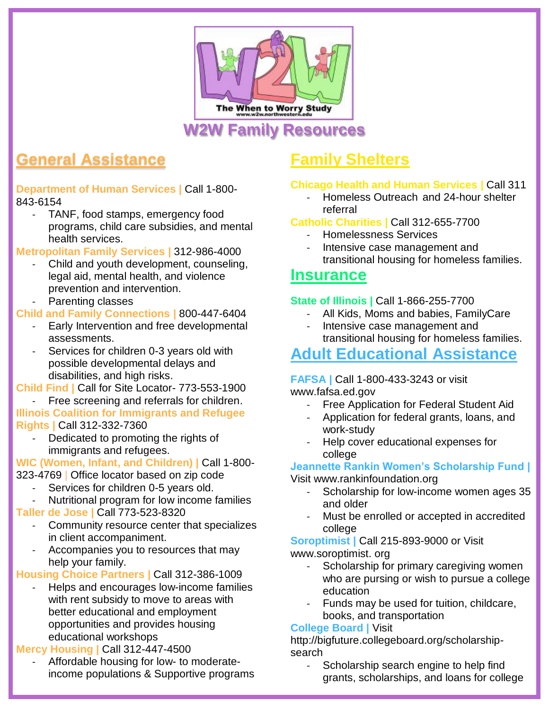

# **General Assistance**

**Department of Human Services |** Call 1-800- 843-6154

TANF, food stamps, emergency food programs, child care subsidies, and mental health services.

**Metropolitan Family Services |** 312-986-4000

- Child and youth development, counseling, legal aid, mental health, and violence prevention and intervention.
- Parenting classes

**Child and Family Connections |** 800-447-6404

- Early Intervention and free developmental assessments.
- Services for children 0-3 years old with possible developmental delays and disabilities, and high risks.

**Child Find |** Call for Site Locator- 773-553-1900

Free screening and referrals for children. **Illinois Coalition for Immigrants and Refugee** 

**Rights |** Call 312-332-7360

Dedicated to promoting the rights of immigrants and refugees.

**WIC (Women, Infant, and Children) |** Call 1-800- 323-4769 **|** Office locator based on zip code

- Services for children 0-5 years old.
- Nutritional program for low income families

**Taller de Jose |** Call 773-523-8320

- Community resource center that specializes in client accompaniment.
- Accompanies you to resources that may help your family.

**Housing Choice Partners |** Call 312-386-1009

Helps and encourages low-income families with rent subsidy to move to areas with better educational and employment opportunities and provides housing educational workshops

## **Mercy Housing |** Call 312-447-4500

- Affordable housing for low- to moderateincome populations & Supportive programs

# **Family Shelters**

## **Chicago Health and Human Services |** Call 311

- Homeless Outreach and 24-hour shelter referral

### **Catholic Charities |** Call 312-655-7700

- Homelessness Services
- Intensive case management and transitional housing for homeless families.

## **Insurance**

## **State of Illinois |** Call 1-866-255-7700

- All Kids, Moms and babies, FamilyCare
- Intensive case management and transitional housing for homeless families.

# **Adult Educational Assistance**

### **FAFSA |** Call 1-800-433-3243 or visit www.fafsa.ed.gov

- Free Application for Federal Student Aid
- Application for federal grants, loans, and work-study
- Help cover educational expenses for college

### **Jeannette Rankin Women's Scholarship Fund |** Visit [www.rankinfoundation.org](http://www.rankinfoundation.org/)

- Scholarship for low-income women ages 35 and older
- Must be enrolled or accepted in accredited college

**Soroptimist |** Call 215-893-9000 or Visit www.soroptimist. org

- Scholarship for primary caregiving women who are pursing or wish to pursue a college education
- Funds may be used for tuition, childcare, books, and transportation

## **College Board |** Visit

http://bigfuture.collegeboard.org/scholarshipsearch

- Scholarship search engine to help find grants, scholarships, and loans for college